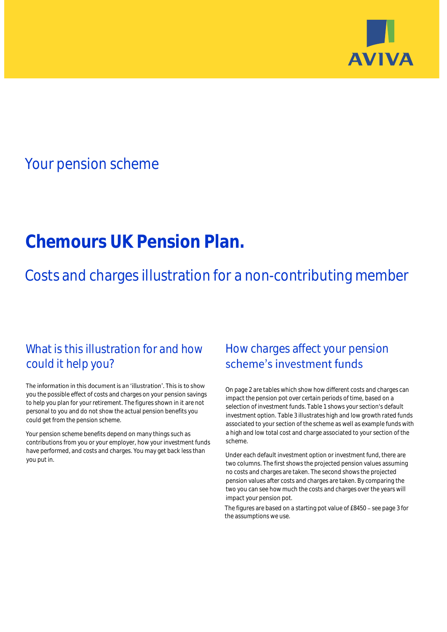

# Your pension scheme

# **Chemours UK Pension Plan.**

Costs and charges illustration for a non-contributing member

## What is this illustration for and how could it help you?

#### The information in this document is an 'illustration'. This is to show you the possible effect of costs and charges on your pension savings to help you plan for your retirement. The figures shown in it are not personal to you and do not show the actual pension benefits you could get from the pension scheme.

Your pension scheme benefits depend on many things such as contributions from you or your employer, how your investment funds have performed, and costs and charges. You may get back less than you put in.

## How charges affect your pension scheme's investment funds

On page 2 are tables which show how different costs and charges can impact the pension pot over certain periods of time, based on a selection of investment funds. Table 1 shows your section's default investment option. Table 3 illustrates high and low growth rated funds associated to your section of the scheme as well as example funds with a high and low total cost and charge associated to your section of the scheme.

Under each default investment option or investment fund, there are two columns. The first shows the projected pension values assuming no costs and charges are taken. The second shows the projected pension values after costs and charges are taken. By comparing the two you can see how much the costs and charges over the years will impact your pension pot.

The figures are based on a starting pot value of  $£8450 -$  see page 3 for the assumptions we use.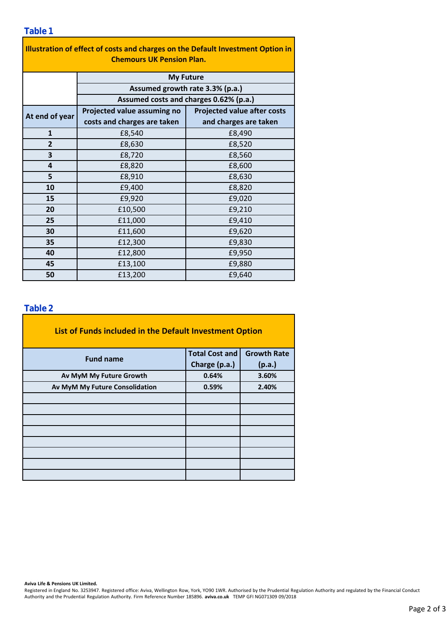### **Table 1**

| Illustration of effect of costs and charges on the Default Investment Option in |                                        |                                    |  |  |  |  |  |  |  |
|---------------------------------------------------------------------------------|----------------------------------------|------------------------------------|--|--|--|--|--|--|--|
| <b>Chemours UK Pension Plan.</b>                                                |                                        |                                    |  |  |  |  |  |  |  |
|                                                                                 | <b>My Future</b>                       |                                    |  |  |  |  |  |  |  |
|                                                                                 | Assumed growth rate 3.3% (p.a.)        |                                    |  |  |  |  |  |  |  |
|                                                                                 | Assumed costs and charges 0.62% (p.a.) |                                    |  |  |  |  |  |  |  |
| At end of year                                                                  | Projected value assuming no            | <b>Projected value after costs</b> |  |  |  |  |  |  |  |
|                                                                                 | costs and charges are taken            | and charges are taken              |  |  |  |  |  |  |  |
| $\mathbf{1}$                                                                    | £8,540                                 | £8,490                             |  |  |  |  |  |  |  |
| $\overline{2}$                                                                  | £8,630                                 | £8,520                             |  |  |  |  |  |  |  |
| 3                                                                               | £8,720                                 | £8,560                             |  |  |  |  |  |  |  |
| 4                                                                               | £8,820                                 | £8,600                             |  |  |  |  |  |  |  |
| 5                                                                               | £8,910                                 | £8,630                             |  |  |  |  |  |  |  |
| 10                                                                              | £9,400                                 | £8,820                             |  |  |  |  |  |  |  |
| 15                                                                              | £9,920                                 | £9,020                             |  |  |  |  |  |  |  |
| 20                                                                              | £10,500                                | £9,210                             |  |  |  |  |  |  |  |
| 25                                                                              | £11,000                                | £9,410                             |  |  |  |  |  |  |  |
| 30                                                                              | £11,600                                | £9,620                             |  |  |  |  |  |  |  |
| 35                                                                              | £12,300                                | £9,830                             |  |  |  |  |  |  |  |
| 40                                                                              | £12,800                                | £9,950                             |  |  |  |  |  |  |  |
| 45                                                                              | £13,100                                | £9,880                             |  |  |  |  |  |  |  |
| 50                                                                              | £13,200                                | £9,640                             |  |  |  |  |  |  |  |

### **Table 2**

| List of Funds included in the Default Investment Option |                       |                    |  |  |  |  |  |  |
|---------------------------------------------------------|-----------------------|--------------------|--|--|--|--|--|--|
| <b>Fund name</b>                                        | <b>Total Cost and</b> | <b>Growth Rate</b> |  |  |  |  |  |  |
|                                                         | Charge (p.a.)         | (p.a.)             |  |  |  |  |  |  |
| Av MyM My Future Growth                                 | 0.64%                 | 3.60%              |  |  |  |  |  |  |
| Av MyM My Future Consolidation                          | 0.59%                 | 2.40%              |  |  |  |  |  |  |
|                                                         |                       |                    |  |  |  |  |  |  |
|                                                         |                       |                    |  |  |  |  |  |  |
|                                                         |                       |                    |  |  |  |  |  |  |
|                                                         |                       |                    |  |  |  |  |  |  |
|                                                         |                       |                    |  |  |  |  |  |  |
|                                                         |                       |                    |  |  |  |  |  |  |
|                                                         |                       |                    |  |  |  |  |  |  |
|                                                         |                       |                    |  |  |  |  |  |  |

**Aviva Life & Pensions UK Limited.**

Registered in England No. 3253947. Registered office: Aviva, Wellington Row, York, YO90 1WR. Authorised by the Prudential Regulation Authority and regulated by the Financial Conduct Authority and the Prudential Regulation Authority. Firm Reference Number 185896. **aviva.co.uk** TEMP GFI NG071309 09/2018